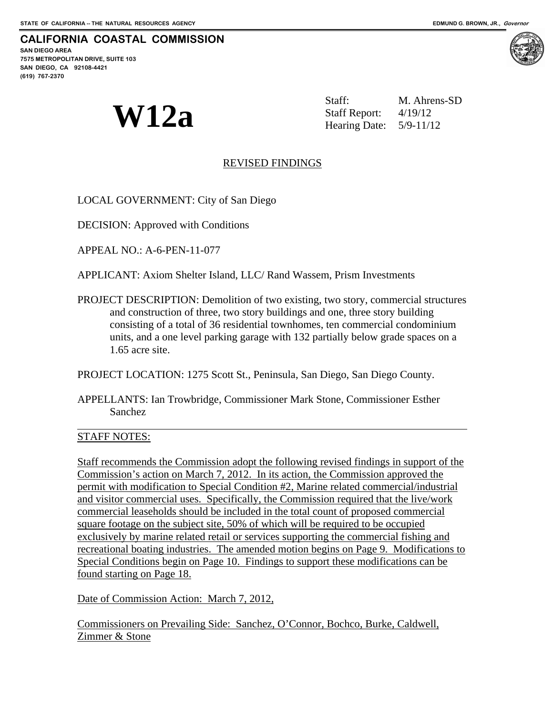**CALIFORNIA COASTAL COMMISSION SAN DIEGO AREA 7575 METROPOLITAN DRIVE, SUITE 103 SAN DIEGO, CA 92108-4421 (619) 767-2370**

**W12a** Staff. M. Ahren:<br>  $\text{Staff Report:} \quad \text{4/19/12}$ <br>
Hearing Date: 5/9-11/12 M. Ahrens-SD Hearing Date:

# REVISED FINDINGS

LOCAL GOVERNMENT: City of San Diego

DECISION: Approved with Conditions

APPEAL NO.: A-6-PEN-11-077

APPLICANT: Axiom Shelter Island, LLC/ Rand Wassem, Prism Investments

PROJECT DESCRIPTION: Demolition of two existing, two story, commercial structures and construction of three, two story buildings and one, three story building consisting of a total of 36 residential townhomes, ten commercial condominium units, and a one level parking garage with 132 partially below grade spaces on a 1.65 acre site.

PROJECT LOCATION: 1275 Scott St., Peninsula, San Diego, San Diego County.

APPELLANTS: Ian Trowbridge, Commissioner Mark Stone, Commissioner Esther Sanchez

## STAFF NOTES:

 $\overline{a}$ 

Staff recommends the Commission adopt the following revised findings in support of the Commission's action on March 7, 2012. In its action, the Commission approved the permit with modification to Special Condition #2, Marine related commercial/industrial and visitor commercial uses. Specifically, the Commission required that the live/work commercial leaseholds should be included in the total count of proposed commercial square footage on the subject site, 50% of which will be required to be occupied exclusively by marine related retail or services supporting the commercial fishing and recreational boating industries. The amended motion begins on Page 9. Modifications to Special Conditions begin on Page 10. Findings to support these modifications can be found starting on Page 18.

Date of Commission Action: March 7, 2012,

Commissioners on Prevailing Side: Sanchez, O'Connor, Bochco, Burke, Caldwell, Zimmer & Stone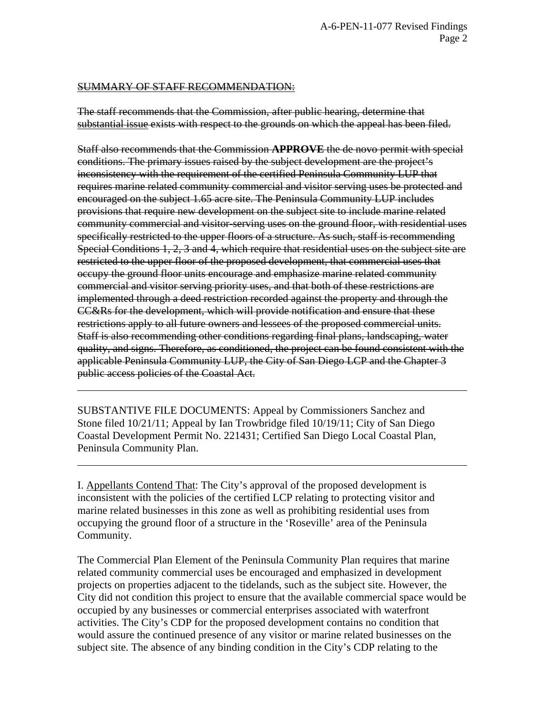## SUMMARY OF STAFF RECOMMENDATION:

 $\overline{a}$ 

 $\overline{a}$ 

The staff recommends that the Commission, after public hearing, determine that substantial issue exists with respect to the grounds on which the appeal has been filed.

Staff also recommends that the Commission **APPROVE** the de novo permit with special conditions. The primary issues raised by the subject development are the project's inconsistency with the requirement of the certified Peninsula Community LUP that requires marine related community commercial and visitor serving uses be protected and encouraged on the subject 1.65 acre site. The Peninsula Community LUP includes provisions that require new development on the subject site to include marine related community commercial and visitor-serving uses on the ground floor, with residential uses specifically restricted to the upper floors of a structure. As such, staff is recommending Special Conditions 1, 2, 3 and 4, which require that residential uses on the subject site are restricted to the upper floor of the proposed development, that commercial uses that occupy the ground floor units encourage and emphasize marine related community commercial and visitor serving priority uses, and that both of these restrictions are implemented through a deed restriction recorded against the property and through the CC&Rs for the development, which will provide notification and ensure that these restrictions apply to all future owners and lessees of the proposed commercial units. Staff is also recommending other conditions regarding final plans, landscaping, water quality, and signs. Therefore, as conditioned, the project can be found consistent with the applicable Peninsula Community LUP, the City of San Diego LCP and the Chapter 3 public access policies of the Coastal Act.

SUBSTANTIVE FILE DOCUMENTS: Appeal by Commissioners Sanchez and Stone filed 10/21/11; Appeal by Ian Trowbridge filed 10/19/11; City of San Diego Coastal Development Permit No. 221431; Certified San Diego Local Coastal Plan, Peninsula Community Plan.

I. Appellants Contend That: The City's approval of the proposed development is inconsistent with the policies of the certified LCP relating to protecting visitor and marine related businesses in this zone as well as prohibiting residential uses from occupying the ground floor of a structure in the 'Roseville' area of the Peninsula Community.

The Commercial Plan Element of the Peninsula Community Plan requires that marine related community commercial uses be encouraged and emphasized in development projects on properties adjacent to the tidelands, such as the subject site. However, the City did not condition this project to ensure that the available commercial space would be occupied by any businesses or commercial enterprises associated with waterfront activities. The City's CDP for the proposed development contains no condition that would assure the continued presence of any visitor or marine related businesses on the subject site. The absence of any binding condition in the City's CDP relating to the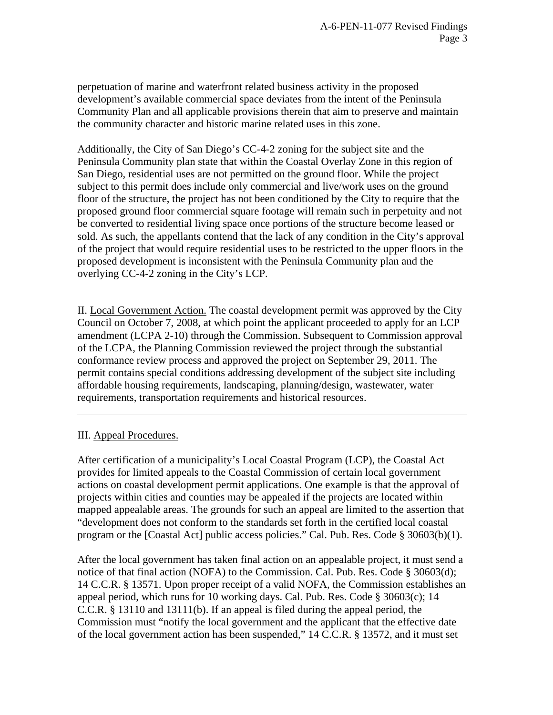perpetuation of marine and waterfront related business activity in the proposed development's available commercial space deviates from the intent of the Peninsula Community Plan and all applicable provisions therein that aim to preserve and maintain the community character and historic marine related uses in this zone.

Additionally, the City of San Diego's CC-4-2 zoning for the subject site and the Peninsula Community plan state that within the Coastal Overlay Zone in this region of San Diego, residential uses are not permitted on the ground floor. While the project subject to this permit does include only commercial and live/work uses on the ground floor of the structure, the project has not been conditioned by the City to require that the proposed ground floor commercial square footage will remain such in perpetuity and not be converted to residential living space once portions of the structure become leased or sold. As such, the appellants contend that the lack of any condition in the City's approval of the project that would require residential uses to be restricted to the upper floors in the proposed development is inconsistent with the Peninsula Community plan and the overlying CC-4-2 zoning in the City's LCP.

II. Local Government Action. The coastal development permit was approved by the City Council on October 7, 2008, at which point the applicant proceeded to apply for an LCP amendment (LCPA 2-10) through the Commission. Subsequent to Commission approval of the LCPA, the Planning Commission reviewed the project through the substantial conformance review process and approved the project on September 29, 2011. The permit contains special conditions addressing development of the subject site including affordable housing requirements, landscaping, planning/design, wastewater, water requirements, transportation requirements and historical resources.

## III. Appeal Procedures.

 $\overline{a}$ 

 $\overline{a}$ 

After certification of a municipality's Local Coastal Program (LCP), the Coastal Act provides for limited appeals to the Coastal Commission of certain local government actions on coastal development permit applications. One example is that the approval of projects within cities and counties may be appealed if the projects are located within mapped appealable areas. The grounds for such an appeal are limited to the assertion that "development does not conform to the standards set forth in the certified local coastal program or the [Coastal Act] public access policies." Cal. Pub. Res. Code § 30603(b)(1).

After the local government has taken final action on an appealable project, it must send a notice of that final action (NOFA) to the Commission. Cal. Pub. Res. Code § 30603(d); 14 C.C.R. § 13571. Upon proper receipt of a valid NOFA, the Commission establishes an appeal period, which runs for 10 working days. Cal. Pub. Res. Code § 30603(c); 14 C.C.R. § 13110 and 13111(b). If an appeal is filed during the appeal period, the Commission must "notify the local government and the applicant that the effective date of the local government action has been suspended," 14 C.C.R. § 13572, and it must set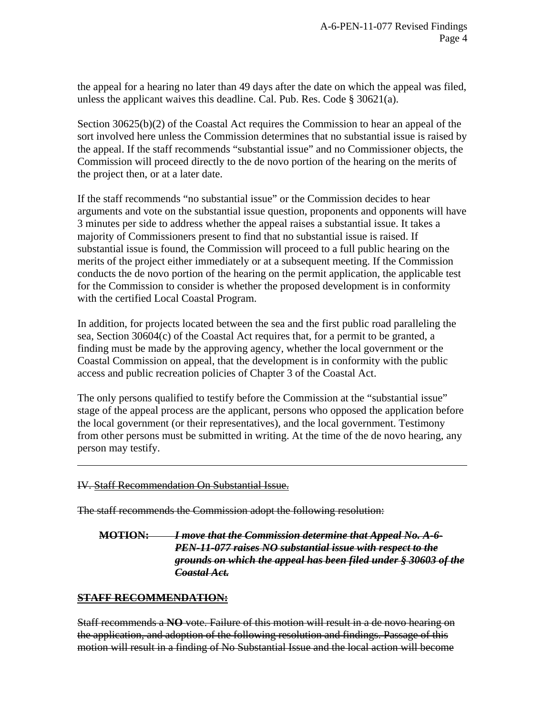the appeal for a hearing no later than 49 days after the date on which the appeal was filed, unless the applicant waives this deadline. Cal. Pub. Res. Code § 30621(a).

Section  $30625(b)(2)$  of the Coastal Act requires the Commission to hear an appeal of the sort involved here unless the Commission determines that no substantial issue is raised by the appeal. If the staff recommends "substantial issue" and no Commissioner objects, the Commission will proceed directly to the de novo portion of the hearing on the merits of the project then, or at a later date.

If the staff recommends "no substantial issue" or the Commission decides to hear arguments and vote on the substantial issue question, proponents and opponents will have 3 minutes per side to address whether the appeal raises a substantial issue. It takes a majority of Commissioners present to find that no substantial issue is raised. If substantial issue is found, the Commission will proceed to a full public hearing on the merits of the project either immediately or at a subsequent meeting. If the Commission conducts the de novo portion of the hearing on the permit application, the applicable test for the Commission to consider is whether the proposed development is in conformity with the certified Local Coastal Program.

In addition, for projects located between the sea and the first public road paralleling the sea, Section 30604(c) of the Coastal Act requires that, for a permit to be granted, a finding must be made by the approving agency, whether the local government or the Coastal Commission on appeal, that the development is in conformity with the public access and public recreation policies of Chapter 3 of the Coastal Act.

The only persons qualified to testify before the Commission at the "substantial issue" stage of the appeal process are the applicant, persons who opposed the application before the local government (or their representatives), and the local government. Testimony from other persons must be submitted in writing. At the time of the de novo hearing, any person may testify.

## IV. Staff Recommendation On Substantial Issue.

The staff recommends the Commission adopt the following resolution:

**MOTION:** *I move that the Commission determine that Appeal No. A-6- PEN-11-077 raises NO substantial issue with respect to the grounds on which the appeal has been filed under § 30603 of the Coastal Act.*

## **STAFF RECOMMENDATION:**

 $\overline{a}$ 

Staff recommends a **NO** vote. Failure of this motion will result in a de novo hearing on the application, and adoption of the following resolution and findings. Passage of this motion will result in a finding of No Substantial Issue and the local action will become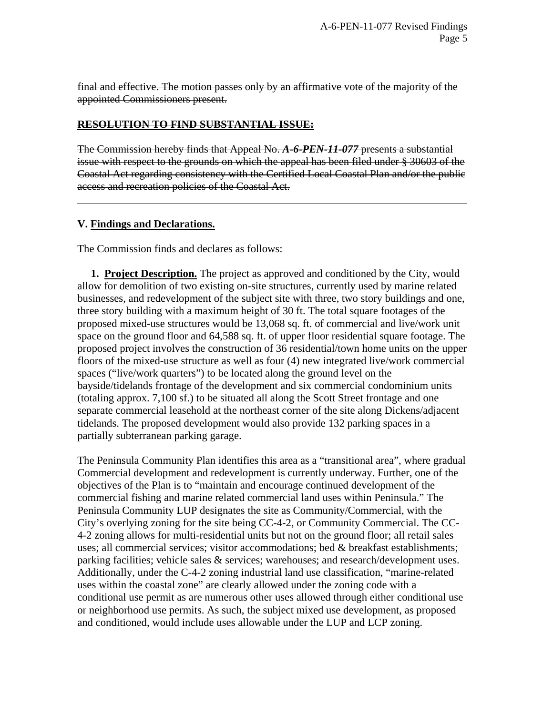final and effective. The motion passes only by an affirmative vote of the majority of the appointed Commissioners present.

## **RESOLUTION TO FIND SUBSTANTIAL ISSUE:**

The Commission hereby finds that Appeal No. *A-6-PEN-11-077* presents a substantial issue with respect to the grounds on which the appeal has been filed under § 30603 of the Coastal Act regarding consistency with the Certified Local Coastal Plan and/or the public access and recreation policies of the Coastal Act.

## **V. Findings and Declarations.**

 $\overline{a}$ 

The Commission finds and declares as follows:

 **1. Project Description.** The project as approved and conditioned by the City, would allow for demolition of two existing on-site structures, currently used by marine related businesses, and redevelopment of the subject site with three, two story buildings and one, three story building with a maximum height of 30 ft. The total square footages of the proposed mixed-use structures would be 13,068 sq. ft. of commercial and live/work unit space on the ground floor and 64,588 sq. ft. of upper floor residential square footage. The proposed project involves the construction of 36 residential/town home units on the upper floors of the mixed-use structure as well as four (4) new integrated live/work commercial spaces ("live/work quarters") to be located along the ground level on the bayside/tidelands frontage of the development and six commercial condominium units (totaling approx. 7,100 sf.) to be situated all along the Scott Street frontage and one separate commercial leasehold at the northeast corner of the site along Dickens/adjacent tidelands. The proposed development would also provide 132 parking spaces in a partially subterranean parking garage.

The Peninsula Community Plan identifies this area as a "transitional area", where gradual Commercial development and redevelopment is currently underway. Further, one of the objectives of the Plan is to "maintain and encourage continued development of the commercial fishing and marine related commercial land uses within Peninsula." The Peninsula Community LUP designates the site as Community/Commercial, with the City's overlying zoning for the site being CC-4-2, or Community Commercial. The CC-4-2 zoning allows for multi-residential units but not on the ground floor; all retail sales uses; all commercial services; visitor accommodations; bed & breakfast establishments; parking facilities; vehicle sales & services; warehouses; and research/development uses. Additionally, under the C-4-2 zoning industrial land use classification, "marine-related uses within the coastal zone" are clearly allowed under the zoning code with a conditional use permit as are numerous other uses allowed through either conditional use or neighborhood use permits. As such, the subject mixed use development, as proposed and conditioned, would include uses allowable under the LUP and LCP zoning.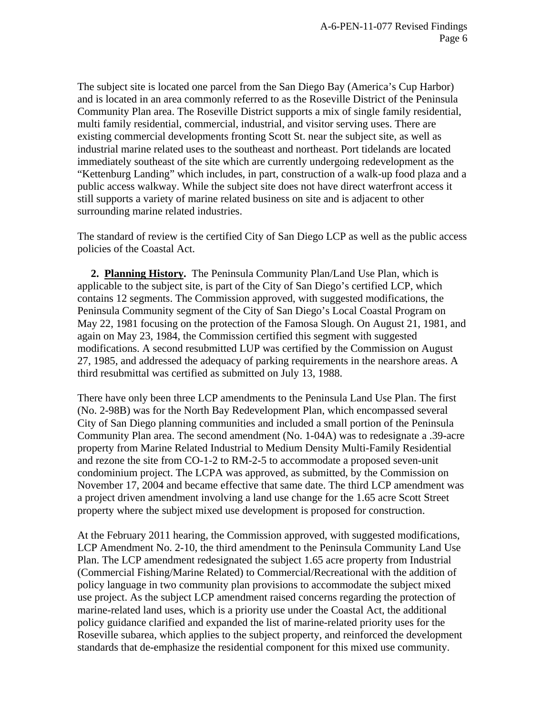The subject site is located one parcel from the San Diego Bay (America's Cup Harbor) and is located in an area commonly referred to as the Roseville District of the Peninsula Community Plan area. The Roseville District supports a mix of single family residential, multi family residential, commercial, industrial, and visitor serving uses. There are existing commercial developments fronting Scott St. near the subject site, as well as industrial marine related uses to the southeast and northeast. Port tidelands are located immediately southeast of the site which are currently undergoing redevelopment as the "Kettenburg Landing" which includes, in part, construction of a walk-up food plaza and a public access walkway. While the subject site does not have direct waterfront access it still supports a variety of marine related business on site and is adjacent to other surrounding marine related industries.

The standard of review is the certified City of San Diego LCP as well as the public access policies of the Coastal Act.

 **2. Planning History.** The Peninsula Community Plan/Land Use Plan, which is applicable to the subject site, is part of the City of San Diego's certified LCP, which contains 12 segments. The Commission approved, with suggested modifications, the Peninsula Community segment of the City of San Diego's Local Coastal Program on May 22, 1981 focusing on the protection of the Famosa Slough. On August 21, 1981, and again on May 23, 1984, the Commission certified this segment with suggested modifications. A second resubmitted LUP was certified by the Commission on August 27, 1985, and addressed the adequacy of parking requirements in the nearshore areas. A third resubmittal was certified as submitted on July 13, 1988.

There have only been three LCP amendments to the Peninsula Land Use Plan. The first (No. 2-98B) was for the North Bay Redevelopment Plan, which encompassed several City of San Diego planning communities and included a small portion of the Peninsula Community Plan area. The second amendment (No. 1-04A) was to redesignate a .39-acre property from Marine Related Industrial to Medium Density Multi-Family Residential and rezone the site from CO-1-2 to RM-2-5 to accommodate a proposed seven-unit condominium project. The LCPA was approved, as submitted, by the Commission on November 17, 2004 and became effective that same date. The third LCP amendment was a project driven amendment involving a land use change for the 1.65 acre Scott Street property where the subject mixed use development is proposed for construction.

At the February 2011 hearing, the Commission approved, with suggested modifications, LCP Amendment No. 2-10, the third amendment to the Peninsula Community Land Use Plan. The LCP amendment redesignated the subject 1.65 acre property from Industrial (Commercial Fishing/Marine Related) to Commercial/Recreational with the addition of policy language in two community plan provisions to accommodate the subject mixed use project. As the subject LCP amendment raised concerns regarding the protection of marine-related land uses, which is a priority use under the Coastal Act, the additional policy guidance clarified and expanded the list of marine-related priority uses for the Roseville subarea, which applies to the subject property, and reinforced the development standards that de-emphasize the residential component for this mixed use community.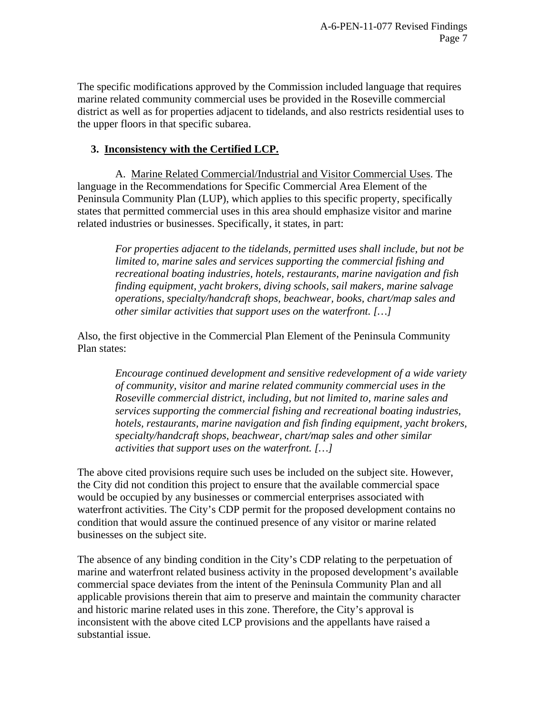The specific modifications approved by the Commission included language that requires marine related community commercial uses be provided in the Roseville commercial district as well as for properties adjacent to tidelands, and also restricts residential uses to the upper floors in that specific subarea.

# **3. Inconsistency with the Certified LCP.**

A. Marine Related Commercial/Industrial and Visitor Commercial Uses. The language in the Recommendations for Specific Commercial Area Element of the Peninsula Community Plan (LUP), which applies to this specific property, specifically states that permitted commercial uses in this area should emphasize visitor and marine related industries or businesses. Specifically, it states, in part:

*For properties adjacent to the tidelands, permitted uses shall include, but not be limited to, marine sales and services supporting the commercial fishing and recreational boating industries, hotels, restaurants, marine navigation and fish finding equipment, yacht brokers, diving schools, sail makers, marine salvage operations, specialty/handcraft shops, beachwear, books, chart/map sales and other similar activities that support uses on the waterfront. […]* 

Also, the first objective in the Commercial Plan Element of the Peninsula Community Plan states:

*Encourage continued development and sensitive redevelopment of a wide variety of community, visitor and marine related community commercial uses in the Roseville commercial district, including, but not limited to, marine sales and services supporting the commercial fishing and recreational boating industries, hotels, restaurants, marine navigation and fish finding equipment, yacht brokers, specialty/handcraft shops, beachwear, chart/map sales and other similar activities that support uses on the waterfront. […]* 

The above cited provisions require such uses be included on the subject site. However, the City did not condition this project to ensure that the available commercial space would be occupied by any businesses or commercial enterprises associated with waterfront activities. The City's CDP permit for the proposed development contains no condition that would assure the continued presence of any visitor or marine related businesses on the subject site.

The absence of any binding condition in the City's CDP relating to the perpetuation of marine and waterfront related business activity in the proposed development's available commercial space deviates from the intent of the Peninsula Community Plan and all applicable provisions therein that aim to preserve and maintain the community character and historic marine related uses in this zone. Therefore, the City's approval is inconsistent with the above cited LCP provisions and the appellants have raised a substantial issue.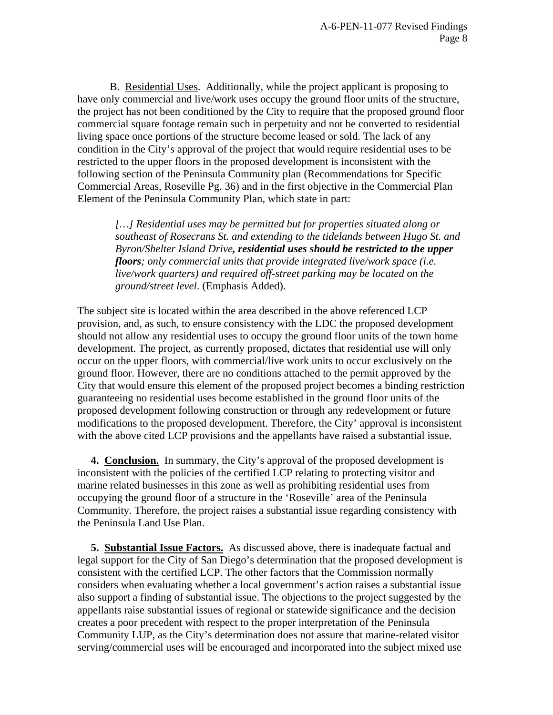B. Residential Uses. Additionally, while the project applicant is proposing to have only commercial and live/work uses occupy the ground floor units of the structure, the project has not been conditioned by the City to require that the proposed ground floor commercial square footage remain such in perpetuity and not be converted to residential living space once portions of the structure become leased or sold. The lack of any condition in the City's approval of the project that would require residential uses to be restricted to the upper floors in the proposed development is inconsistent with the following section of the Peninsula Community plan (Recommendations for Specific Commercial Areas, Roseville Pg. 36) and in the first objective in the Commercial Plan Element of the Peninsula Community Plan, which state in part:

*[…] Residential uses may be permitted but for properties situated along or southeast of Rosecrans St. and extending to the tidelands between Hugo St. and Byron/Shelter Island Drive, residential uses should be restricted to the upper floors; only commercial units that provide integrated live/work space (i.e. live/work quarters) and required off-street parking may be located on the ground/street level*. (Emphasis Added).

The subject site is located within the area described in the above referenced LCP provision, and, as such, to ensure consistency with the LDC the proposed development should not allow any residential uses to occupy the ground floor units of the town home development. The project, as currently proposed, dictates that residential use will only occur on the upper floors, with commercial/live work units to occur exclusively on the ground floor. However, there are no conditions attached to the permit approved by the City that would ensure this element of the proposed project becomes a binding restriction guaranteeing no residential uses become established in the ground floor units of the proposed development following construction or through any redevelopment or future modifications to the proposed development. Therefore, the City' approval is inconsistent with the above cited LCP provisions and the appellants have raised a substantial issue.

 **4. Conclusion.** In summary, the City's approval of the proposed development is inconsistent with the policies of the certified LCP relating to protecting visitor and marine related businesses in this zone as well as prohibiting residential uses from occupying the ground floor of a structure in the 'Roseville' area of the Peninsula Community. Therefore, the project raises a substantial issue regarding consistency with the Peninsula Land Use Plan.

 **5. Substantial Issue Factors.** As discussed above, there is inadequate factual and legal support for the City of San Diego's determination that the proposed development is consistent with the certified LCP. The other factors that the Commission normally considers when evaluating whether a local government's action raises a substantial issue also support a finding of substantial issue. The objections to the project suggested by the appellants raise substantial issues of regional or statewide significance and the decision creates a poor precedent with respect to the proper interpretation of the Peninsula Community LUP, as the City's determination does not assure that marine-related visitor serving/commercial uses will be encouraged and incorporated into the subject mixed use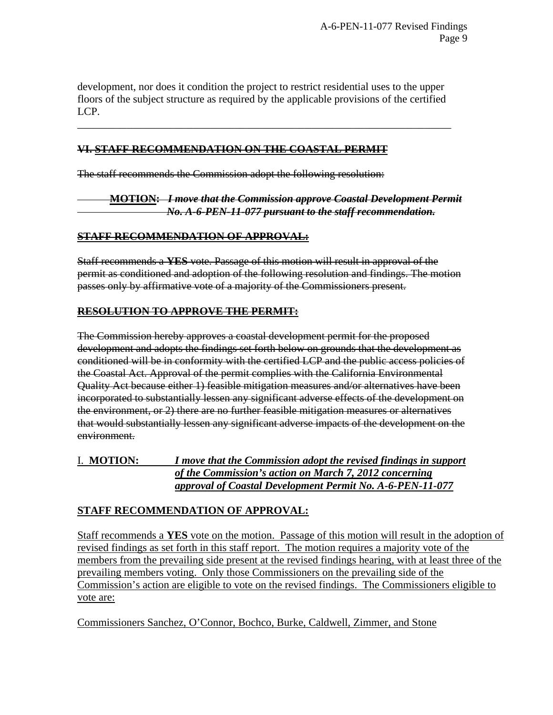development, nor does it condition the project to restrict residential uses to the upper floors of the subject structure as required by the applicable provisions of the certified LCP.

\_\_\_\_\_\_\_\_\_\_\_\_\_\_\_\_\_\_\_\_\_\_\_\_\_\_\_\_\_\_\_\_\_\_\_\_\_\_\_\_\_\_\_\_\_\_\_\_\_\_\_\_\_\_\_\_\_\_\_\_\_\_\_\_\_\_\_\_\_

# **VI. STAFF RECOMMENDATION ON THE COASTAL PERMIT**

The staff recommends the Commission adopt the following resolution:

**MOTION:** *I move that the Commission approve Coastal Development Permit No. A-6-PEN-11-077 pursuant to the staff recommendation.*

# **STAFF RECOMMENDATION OF APPROVAL:**

Staff recommends a **YES** vote. Passage of this motion will result in approval of the permit as conditioned and adoption of the following resolution and findings. The motion passes only by affirmative vote of a majority of the Commissioners present.

# **RESOLUTION TO APPROVE THE PERMIT:**

The Commission hereby approves a coastal development permit for the proposed development and adopts the findings set forth below on grounds that the development as conditioned will be in conformity with the certified LCP and the public access policies of the Coastal Act. Approval of the permit complies with the California Environmental Quality Act because either 1) feasible mitigation measures and/or alternatives have been incorporated to substantially lessen any significant adverse effects of the development on the environment, or 2) there are no further feasible mitigation measures or alternatives that would substantially lessen any significant adverse impacts of the development on the environment.

I. **MOTION:** *I move that the Commission adopt the revised findings in support of the Commission's action on March 7, 2012 concerning approval of Coastal Development Permit No. A-6-PEN-11-077*

# **STAFF RECOMMENDATION OF APPROVAL:**

Staff recommends a **YES** vote on the motion. Passage of this motion will result in the adoption of revised findings as set forth in this staff report. The motion requires a majority vote of the members from the prevailing side present at the revised findings hearing, with at least three of the prevailing members voting. Only those Commissioners on the prevailing side of the Commission's action are eligible to vote on the revised findings. The Commissioners eligible to vote are:

Commissioners Sanchez, O'Connor, Bochco, Burke, Caldwell, Zimmer, and Stone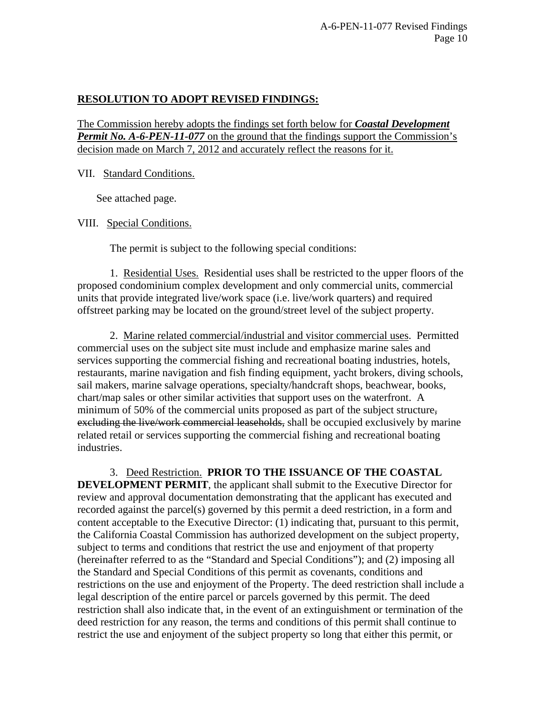# **RESOLUTION TO ADOPT REVISED FINDINGS:**

The Commission hereby adopts the findings set forth below for *Coastal Development Permit No. A-6-PEN-11-077* on the ground that the findings support the Commission's decision made on March 7, 2012 and accurately reflect the reasons for it.

VII. Standard Conditions.

See attached page.

VIII. Special Conditions.

The permit is subject to the following special conditions:

 1. Residential Uses. Residential uses shall be restricted to the upper floors of the proposed condominium complex development and only commercial units, commercial units that provide integrated live/work space (i.e. live/work quarters) and required offstreet parking may be located on the ground/street level of the subject property.

 2. Marine related commercial/industrial and visitor commercial uses. Permitted commercial uses on the subject site must include and emphasize marine sales and services supporting the commercial fishing and recreational boating industries, hotels, restaurants, marine navigation and fish finding equipment, yacht brokers, diving schools, sail makers, marine salvage operations, specialty/handcraft shops, beachwear, books, chart/map sales or other similar activities that support uses on the waterfront. A minimum of 50% of the commercial units proposed as part of the subject structure, excluding the live/work commercial leaseholds, shall be occupied exclusively by marine related retail or services supporting the commercial fishing and recreational boating industries.

3. Deed Restriction. **PRIOR TO THE ISSUANCE OF THE COASTAL DEVELOPMENT PERMIT**, the applicant shall submit to the Executive Director for review and approval documentation demonstrating that the applicant has executed and recorded against the parcel(s) governed by this permit a deed restriction, in a form and content acceptable to the Executive Director: (1) indicating that, pursuant to this permit, the California Coastal Commission has authorized development on the subject property, subject to terms and conditions that restrict the use and enjoyment of that property (hereinafter referred to as the "Standard and Special Conditions"); and (2) imposing all the Standard and Special Conditions of this permit as covenants, conditions and restrictions on the use and enjoyment of the Property. The deed restriction shall include a legal description of the entire parcel or parcels governed by this permit. The deed restriction shall also indicate that, in the event of an extinguishment or termination of the deed restriction for any reason, the terms and conditions of this permit shall continue to restrict the use and enjoyment of the subject property so long that either this permit, or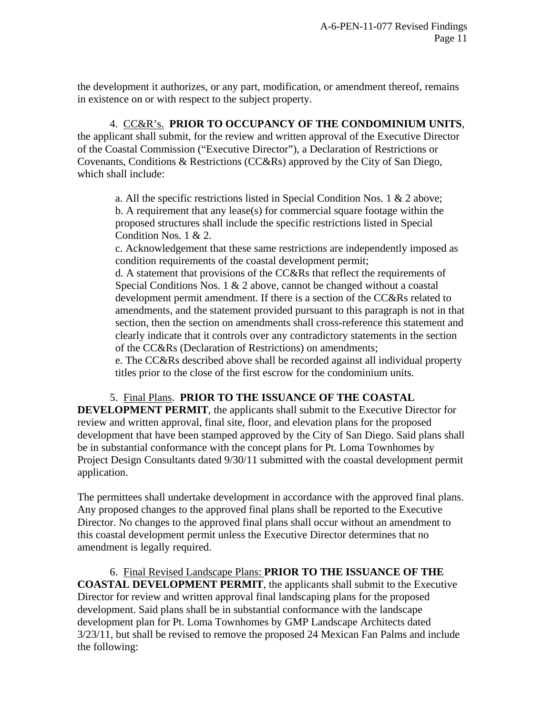the development it authorizes, or any part, modification, or amendment thereof, remains in existence on or with respect to the subject property.

 4. CC&R's. **PRIOR TO OCCUPANCY OF THE CONDOMINIUM UNITS**, the applicant shall submit, for the review and written approval of the Executive Director of the Coastal Commission ("Executive Director"), a Declaration of Restrictions or Covenants, Conditions & Restrictions (CC&Rs) approved by the City of San Diego, which shall include:

a. All the specific restrictions listed in Special Condition Nos. 1 & 2 above; b. A requirement that any lease(s) for commercial square footage within the proposed structures shall include the specific restrictions listed in Special Condition Nos. 1 & 2.

c. Acknowledgement that these same restrictions are independently imposed as condition requirements of the coastal development permit;

d. A statement that provisions of the CC&Rs that reflect the requirements of Special Conditions Nos. 1 & 2 above, cannot be changed without a coastal development permit amendment. If there is a section of the CC&Rs related to amendments, and the statement provided pursuant to this paragraph is not in that section, then the section on amendments shall cross-reference this statement and clearly indicate that it controls over any contradictory statements in the section of the CC&Rs (Declaration of Restrictions) on amendments;

e. The CC&Rs described above shall be recorded against all individual property titles prior to the close of the first escrow for the condominium units.

5. Final Plans. **PRIOR TO THE ISSUANCE OF THE COASTAL** 

**DEVELOPMENT PERMIT**, the applicants shall submit to the Executive Director for review and written approval, final site, floor, and elevation plans for the proposed development that have been stamped approved by the City of San Diego. Said plans shall be in substantial conformance with the concept plans for Pt. Loma Townhomes by Project Design Consultants dated 9/30/11 submitted with the coastal development permit application.

The permittees shall undertake development in accordance with the approved final plans. Any proposed changes to the approved final plans shall be reported to the Executive Director. No changes to the approved final plans shall occur without an amendment to this coastal development permit unless the Executive Director determines that no amendment is legally required.

 6. Final Revised Landscape Plans: **PRIOR TO THE ISSUANCE OF THE COASTAL DEVELOPMENT PERMIT**, the applicants shall submit to the Executive Director for review and written approval final landscaping plans for the proposed development. Said plans shall be in substantial conformance with the landscape development plan for Pt. Loma Townhomes by GMP Landscape Architects dated 3/23/11, but shall be revised to remove the proposed 24 Mexican Fan Palms and include the following: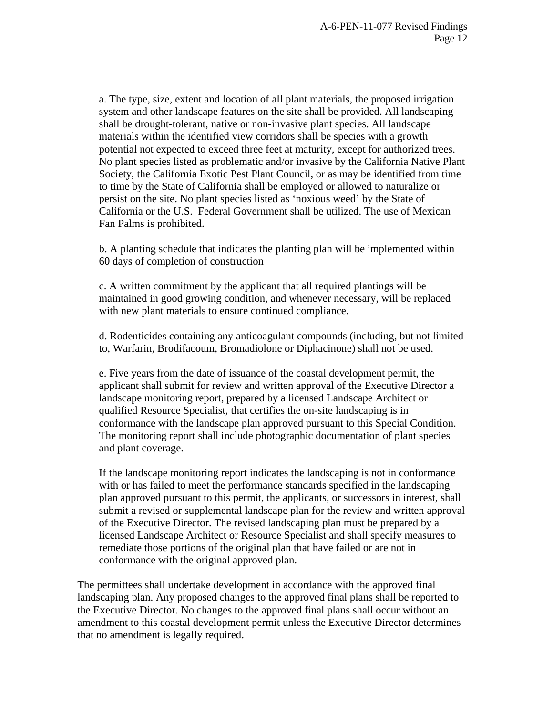a. The type, size, extent and location of all plant materials, the proposed irrigation system and other landscape features on the site shall be provided. All landscaping shall be drought-tolerant, native or non-invasive plant species. All landscape materials within the identified view corridors shall be species with a growth potential not expected to exceed three feet at maturity, except for authorized trees. No plant species listed as problematic and/or invasive by the California Native Plant Society, the California Exotic Pest Plant Council, or as may be identified from time to time by the State of California shall be employed or allowed to naturalize or persist on the site. No plant species listed as 'noxious weed' by the State of California or the U.S. Federal Government shall be utilized. The use of Mexican Fan Palms is prohibited.

b. A planting schedule that indicates the planting plan will be implemented within 60 days of completion of construction

c. A written commitment by the applicant that all required plantings will be maintained in good growing condition, and whenever necessary, will be replaced with new plant materials to ensure continued compliance.

d. Rodenticides containing any anticoagulant compounds (including, but not limited to, Warfarin, Brodifacoum, Bromadiolone or Diphacinone) shall not be used.

e. Five years from the date of issuance of the coastal development permit, the applicant shall submit for review and written approval of the Executive Director a landscape monitoring report, prepared by a licensed Landscape Architect or qualified Resource Specialist, that certifies the on-site landscaping is in conformance with the landscape plan approved pursuant to this Special Condition. The monitoring report shall include photographic documentation of plant species and plant coverage.

If the landscape monitoring report indicates the landscaping is not in conformance with or has failed to meet the performance standards specified in the landscaping plan approved pursuant to this permit, the applicants, or successors in interest, shall submit a revised or supplemental landscape plan for the review and written approval of the Executive Director. The revised landscaping plan must be prepared by a licensed Landscape Architect or Resource Specialist and shall specify measures to remediate those portions of the original plan that have failed or are not in conformance with the original approved plan.

The permittees shall undertake development in accordance with the approved final landscaping plan. Any proposed changes to the approved final plans shall be reported to the Executive Director. No changes to the approved final plans shall occur without an amendment to this coastal development permit unless the Executive Director determines that no amendment is legally required.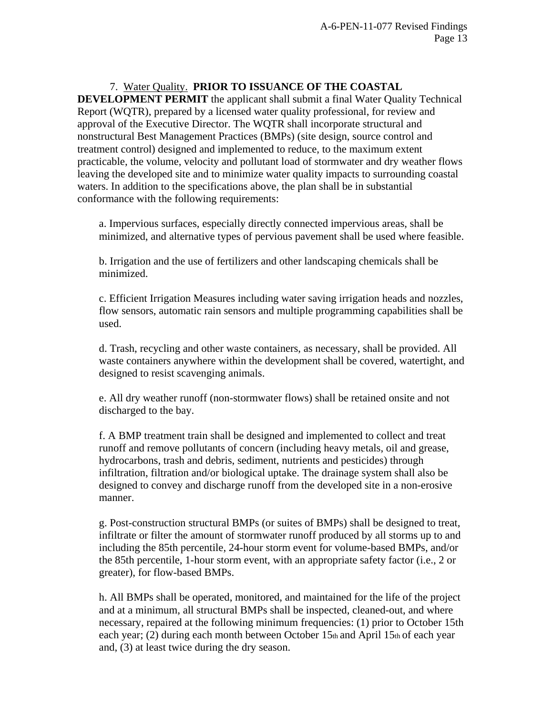7. Water Quality. **PRIOR TO ISSUANCE OF THE COASTAL DEVELOPMENT PERMIT** the applicant shall submit a final Water Quality Technical Report (WQTR), prepared by a licensed water quality professional, for review and approval of the Executive Director. The WQTR shall incorporate structural and nonstructural Best Management Practices (BMPs) (site design, source control and treatment control) designed and implemented to reduce, to the maximum extent practicable, the volume, velocity and pollutant load of stormwater and dry weather flows leaving the developed site and to minimize water quality impacts to surrounding coastal waters. In addition to the specifications above, the plan shall be in substantial conformance with the following requirements:

a. Impervious surfaces, especially directly connected impervious areas, shall be minimized, and alternative types of pervious pavement shall be used where feasible.

b. Irrigation and the use of fertilizers and other landscaping chemicals shall be minimized.

c. Efficient Irrigation Measures including water saving irrigation heads and nozzles, flow sensors, automatic rain sensors and multiple programming capabilities shall be used.

d. Trash, recycling and other waste containers, as necessary, shall be provided. All waste containers anywhere within the development shall be covered, watertight, and designed to resist scavenging animals.

e. All dry weather runoff (non-stormwater flows) shall be retained onsite and not discharged to the bay.

f. A BMP treatment train shall be designed and implemented to collect and treat runoff and remove pollutants of concern (including heavy metals, oil and grease, hydrocarbons, trash and debris, sediment, nutrients and pesticides) through infiltration, filtration and/or biological uptake. The drainage system shall also be designed to convey and discharge runoff from the developed site in a non-erosive manner.

g. Post-construction structural BMPs (or suites of BMPs) shall be designed to treat, infiltrate or filter the amount of stormwater runoff produced by all storms up to and including the 85th percentile, 24-hour storm event for volume-based BMPs, and/or the 85th percentile, 1-hour storm event, with an appropriate safety factor (i.e., 2 or greater), for flow-based BMPs.

h. All BMPs shall be operated, monitored, and maintained for the life of the project and at a minimum, all structural BMPs shall be inspected, cleaned-out, and where necessary, repaired at the following minimum frequencies: (1) prior to October 15th each year; (2) during each month between October 15th and April 15th of each year and, (3) at least twice during the dry season.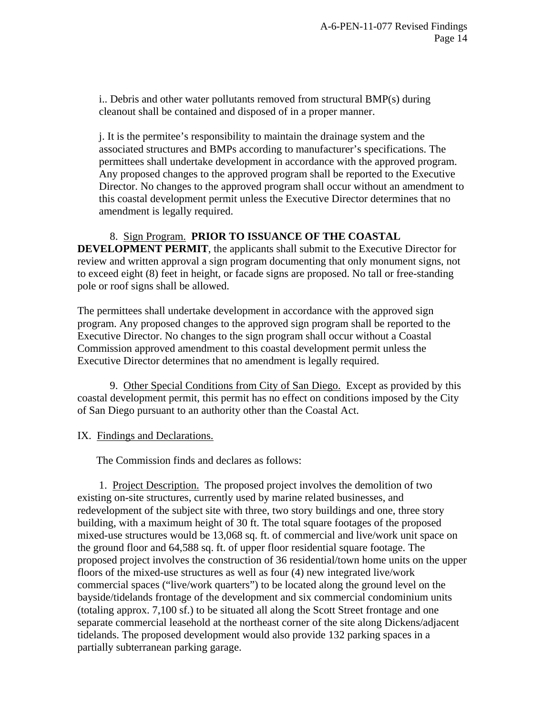i.. Debris and other water pollutants removed from structural BMP(s) during cleanout shall be contained and disposed of in a proper manner.

j. It is the permitee's responsibility to maintain the drainage system and the associated structures and BMPs according to manufacturer's specifications. The permittees shall undertake development in accordance with the approved program. Any proposed changes to the approved program shall be reported to the Executive Director. No changes to the approved program shall occur without an amendment to this coastal development permit unless the Executive Director determines that no amendment is legally required.

 8. Sign Program. **PRIOR TO ISSUANCE OF THE COASTAL DEVELOPMENT PERMIT**, the applicants shall submit to the Executive Director for review and written approval a sign program documenting that only monument signs, not to exceed eight (8) feet in height, or facade signs are proposed. No tall or free-standing pole or roof signs shall be allowed.

The permittees shall undertake development in accordance with the approved sign program. Any proposed changes to the approved sign program shall be reported to the Executive Director. No changes to the sign program shall occur without a Coastal Commission approved amendment to this coastal development permit unless the Executive Director determines that no amendment is legally required.

 9. Other Special Conditions from City of San Diego. Except as provided by this coastal development permit, this permit has no effect on conditions imposed by the City of San Diego pursuant to an authority other than the Coastal Act.

IX. Findings and Declarations.

The Commission finds and declares as follows:

 1. Project Description. The proposed project involves the demolition of two existing on-site structures, currently used by marine related businesses, and redevelopment of the subject site with three, two story buildings and one, three story building, with a maximum height of 30 ft. The total square footages of the proposed mixed-use structures would be 13,068 sq. ft. of commercial and live/work unit space on the ground floor and 64,588 sq. ft. of upper floor residential square footage. The proposed project involves the construction of 36 residential/town home units on the upper floors of the mixed-use structures as well as four (4) new integrated live/work commercial spaces ("live/work quarters") to be located along the ground level on the bayside/tidelands frontage of the development and six commercial condominium units (totaling approx. 7,100 sf.) to be situated all along the Scott Street frontage and one separate commercial leasehold at the northeast corner of the site along Dickens/adjacent tidelands. The proposed development would also provide 132 parking spaces in a partially subterranean parking garage.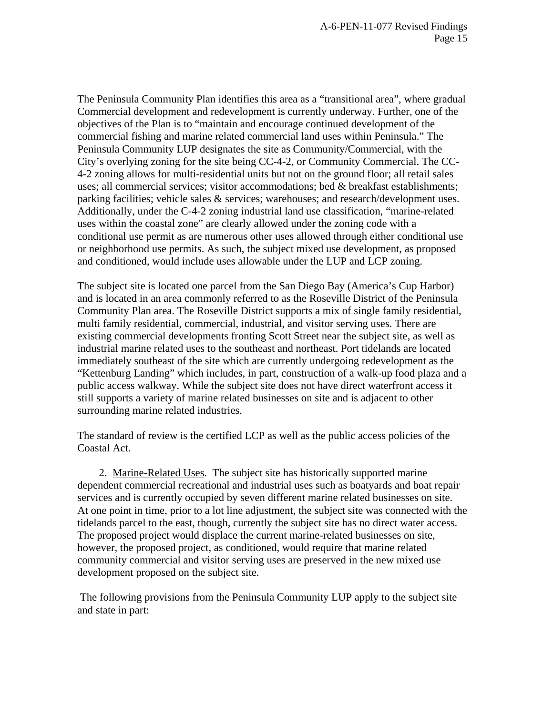The Peninsula Community Plan identifies this area as a "transitional area", where gradual Commercial development and redevelopment is currently underway. Further, one of the objectives of the Plan is to "maintain and encourage continued development of the commercial fishing and marine related commercial land uses within Peninsula." The Peninsula Community LUP designates the site as Community/Commercial, with the City's overlying zoning for the site being CC-4-2, or Community Commercial. The CC-4-2 zoning allows for multi-residential units but not on the ground floor; all retail sales uses; all commercial services; visitor accommodations; bed & breakfast establishments; parking facilities; vehicle sales & services; warehouses; and research/development uses. Additionally, under the C-4-2 zoning industrial land use classification, "marine-related uses within the coastal zone" are clearly allowed under the zoning code with a conditional use permit as are numerous other uses allowed through either conditional use or neighborhood use permits. As such, the subject mixed use development, as proposed and conditioned, would include uses allowable under the LUP and LCP zoning.

The subject site is located one parcel from the San Diego Bay (America's Cup Harbor) and is located in an area commonly referred to as the Roseville District of the Peninsula Community Plan area. The Roseville District supports a mix of single family residential, multi family residential, commercial, industrial, and visitor serving uses. There are existing commercial developments fronting Scott Street near the subject site, as well as industrial marine related uses to the southeast and northeast. Port tidelands are located immediately southeast of the site which are currently undergoing redevelopment as the "Kettenburg Landing" which includes, in part, construction of a walk-up food plaza and a public access walkway. While the subject site does not have direct waterfront access it still supports a variety of marine related businesses on site and is adjacent to other surrounding marine related industries.

The standard of review is the certified LCP as well as the public access policies of the Coastal Act.

 2. Marine-Related Uses. The subject site has historically supported marine dependent commercial recreational and industrial uses such as boatyards and boat repair services and is currently occupied by seven different marine related businesses on site. At one point in time, prior to a lot line adjustment, the subject site was connected with the tidelands parcel to the east, though, currently the subject site has no direct water access. The proposed project would displace the current marine-related businesses on site, however, the proposed project, as conditioned, would require that marine related community commercial and visitor serving uses are preserved in the new mixed use development proposed on the subject site.

 The following provisions from the Peninsula Community LUP apply to the subject site and state in part: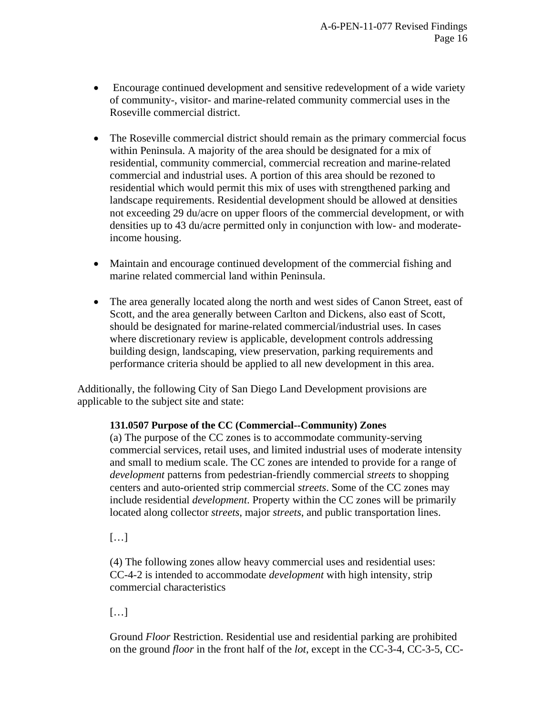- Encourage continued development and sensitive redevelopment of a wide variety of community-, visitor- and marine-related community commercial uses in the Roseville commercial district.
- The Roseville commercial district should remain as the primary commercial focus within Peninsula. A majority of the area should be designated for a mix of residential, community commercial, commercial recreation and marine-related commercial and industrial uses. A portion of this area should be rezoned to residential which would permit this mix of uses with strengthened parking and landscape requirements. Residential development should be allowed at densities not exceeding 29 du/acre on upper floors of the commercial development, or with densities up to 43 du/acre permitted only in conjunction with low- and moderateincome housing.
- Maintain and encourage continued development of the commercial fishing and marine related commercial land within Peninsula.
- The area generally located along the north and west sides of Canon Street, east of Scott, and the area generally between Carlton and Dickens, also east of Scott, should be designated for marine-related commercial/industrial uses. In cases where discretionary review is applicable, development controls addressing building design, landscaping, view preservation, parking requirements and performance criteria should be applied to all new development in this area.

Additionally, the following City of San Diego Land Development provisions are applicable to the subject site and state:

## **131.0507 Purpose of the CC (Commercial--Community) Zones**

(a) The purpose of the CC zones is to accommodate community-serving commercial services, retail uses, and limited industrial uses of moderate intensity and small to medium scale. The CC zones are intended to provide for a range of *development* patterns from pedestrian-friendly commercial *streets* to shopping centers and auto-oriented strip commercial *streets*. Some of the CC zones may include residential *development*. Property within the CC zones will be primarily located along collector *streets*, major *streets*, and public transportation lines.

[…]

(4) The following zones allow heavy commercial uses and residential uses: CC-4-2 is intended to accommodate *development* with high intensity, strip commercial characteristics

[…]

Ground *Floor* Restriction. Residential use and residential parking are prohibited on the ground *floor* in the front half of the *lot*, except in the CC-3-4, CC-3-5, CC-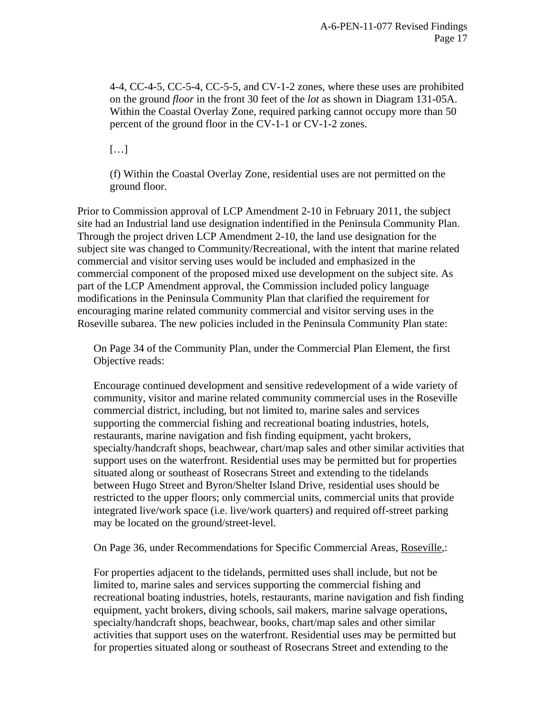4-4, CC-4-5, CC-5-4, CC-5-5, and CV-1-2 zones, where these uses are prohibited on the ground *floor* in the front 30 feet of the *lot* as shown in Diagram 131-05A. Within the Coastal Overlay Zone, required parking cannot occupy more than 50 percent of the ground floor in the CV-1-1 or CV-1-2 zones.

[…]

(f) Within the Coastal Overlay Zone, residential uses are not permitted on the ground floor.

Prior to Commission approval of LCP Amendment 2-10 in February 2011, the subject site had an Industrial land use designation indentified in the Peninsula Community Plan. Through the project driven LCP Amendment 2-10, the land use designation for the subject site was changed to Community/Recreational, with the intent that marine related commercial and visitor serving uses would be included and emphasized in the commercial component of the proposed mixed use development on the subject site. As part of the LCP Amendment approval, the Commission included policy language modifications in the Peninsula Community Plan that clarified the requirement for encouraging marine related community commercial and visitor serving uses in the Roseville subarea. The new policies included in the Peninsula Community Plan state:

On Page 34 of the Community Plan, under the Commercial Plan Element, the first Objective reads:

Encourage continued development and sensitive redevelopment of a wide variety of community, visitor and marine related community commercial uses in the Roseville commercial district, including, but not limited to, marine sales and services supporting the commercial fishing and recreational boating industries, hotels, restaurants, marine navigation and fish finding equipment, yacht brokers, specialty/handcraft shops, beachwear, chart/map sales and other similar activities that support uses on the waterfront. Residential uses may be permitted but for properties situated along or southeast of Rosecrans Street and extending to the tidelands between Hugo Street and Byron/Shelter Island Drive, residential uses should be restricted to the upper floors; only commercial units, commercial units that provide integrated live/work space (i.e. live/work quarters) and required off-street parking may be located on the ground/street-level.

On Page 36, under Recommendations for Specific Commercial Areas, Roseville,:

For properties adjacent to the tidelands, permitted uses shall include, but not be limited to, marine sales and services supporting the commercial fishing and recreational boating industries, hotels, restaurants, marine navigation and fish finding equipment, yacht brokers, diving schools, sail makers, marine salvage operations, specialty/handcraft shops, beachwear, books, chart/map sales and other similar activities that support uses on the waterfront. Residential uses may be permitted but for properties situated along or southeast of Rosecrans Street and extending to the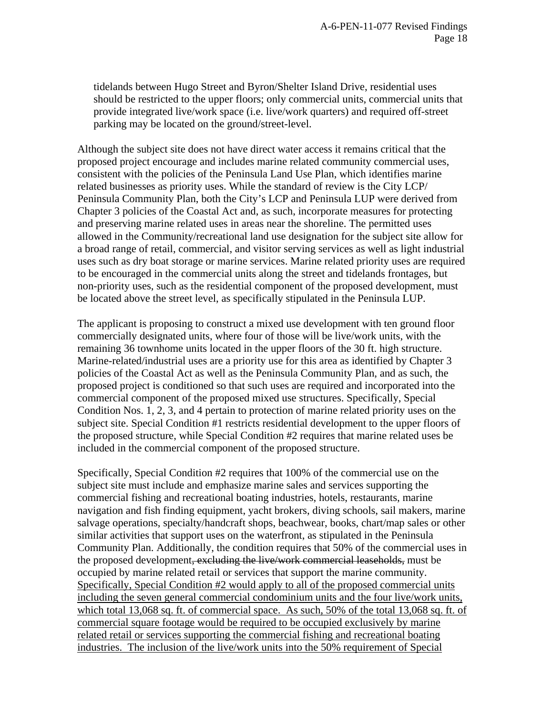tidelands between Hugo Street and Byron/Shelter Island Drive, residential uses should be restricted to the upper floors; only commercial units, commercial units that provide integrated live/work space (i.e. live/work quarters) and required off-street parking may be located on the ground/street-level.

Although the subject site does not have direct water access it remains critical that the proposed project encourage and includes marine related community commercial uses, consistent with the policies of the Peninsula Land Use Plan, which identifies marine related businesses as priority uses. While the standard of review is the City LCP/ Peninsula Community Plan, both the City's LCP and Peninsula LUP were derived from Chapter 3 policies of the Coastal Act and, as such, incorporate measures for protecting and preserving marine related uses in areas near the shoreline. The permitted uses allowed in the Community/recreational land use designation for the subject site allow for a broad range of retail, commercial, and visitor serving services as well as light industrial uses such as dry boat storage or marine services. Marine related priority uses are required to be encouraged in the commercial units along the street and tidelands frontages, but non-priority uses, such as the residential component of the proposed development, must be located above the street level, as specifically stipulated in the Peninsula LUP.

The applicant is proposing to construct a mixed use development with ten ground floor commercially designated units, where four of those will be live/work units, with the remaining 36 townhome units located in the upper floors of the 30 ft. high structure. Marine-related/industrial uses are a priority use for this area as identified by Chapter 3 policies of the Coastal Act as well as the Peninsula Community Plan, and as such, the proposed project is conditioned so that such uses are required and incorporated into the commercial component of the proposed mixed use structures. Specifically, Special Condition Nos. 1, 2, 3, and 4 pertain to protection of marine related priority uses on the subject site. Special Condition #1 restricts residential development to the upper floors of the proposed structure, while Special Condition #2 requires that marine related uses be included in the commercial component of the proposed structure.

Specifically, Special Condition #2 requires that 100% of the commercial use on the subject site must include and emphasize marine sales and services supporting the commercial fishing and recreational boating industries, hotels, restaurants, marine navigation and fish finding equipment, yacht brokers, diving schools, sail makers, marine salvage operations, specialty/handcraft shops, beachwear, books, chart/map sales or other similar activities that support uses on the waterfront, as stipulated in the Peninsula Community Plan. Additionally, the condition requires that 50% of the commercial uses in the proposed development, excluding the live/work commercial leaseholds, must be occupied by marine related retail or services that support the marine community. Specifically, Special Condition #2 would apply to all of the proposed commercial units including the seven general commercial condominium units and the four live/work units, which total 13,068 sq. ft. of commercial space. As such, 50% of the total 13,068 sq. ft. of commercial square footage would be required to be occupied exclusively by marine related retail or services supporting the commercial fishing and recreational boating industries. The inclusion of the live/work units into the 50% requirement of Special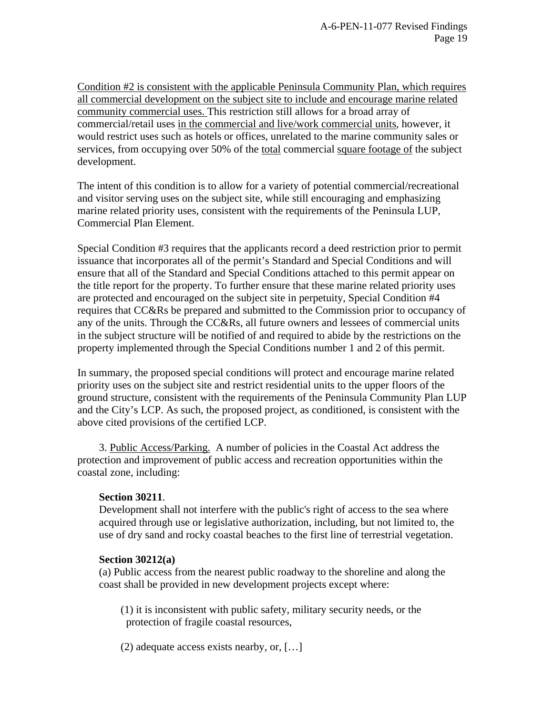Condition #2 is consistent with the applicable Peninsula Community Plan, which requires all commercial development on the subject site to include and encourage marine related community commercial uses. This restriction still allows for a broad array of commercial/retail uses in the commercial and live/work commercial units, however, it would restrict uses such as hotels or offices, unrelated to the marine community sales or services, from occupying over 50% of the total commercial square footage of the subject development.

The intent of this condition is to allow for a variety of potential commercial/recreational and visitor serving uses on the subject site, while still encouraging and emphasizing marine related priority uses, consistent with the requirements of the Peninsula LUP, Commercial Plan Element.

Special Condition #3 requires that the applicants record a deed restriction prior to permit issuance that incorporates all of the permit's Standard and Special Conditions and will ensure that all of the Standard and Special Conditions attached to this permit appear on the title report for the property. To further ensure that these marine related priority uses are protected and encouraged on the subject site in perpetuity, Special Condition #4 requires that CC&Rs be prepared and submitted to the Commission prior to occupancy of any of the units. Through the CC&Rs, all future owners and lessees of commercial units in the subject structure will be notified of and required to abide by the restrictions on the property implemented through the Special Conditions number 1 and 2 of this permit.

In summary, the proposed special conditions will protect and encourage marine related priority uses on the subject site and restrict residential units to the upper floors of the ground structure, consistent with the requirements of the Peninsula Community Plan LUP and the City's LCP. As such, the proposed project, as conditioned, is consistent with the above cited provisions of the certified LCP.

 3. Public Access/Parking. A number of policies in the Coastal Act address the protection and improvement of public access and recreation opportunities within the coastal zone, including:

## **Section 30211**.

Development shall not interfere with the public's right of access to the sea where acquired through use or legislative authorization, including, but not limited to, the use of dry sand and rocky coastal beaches to the first line of terrestrial vegetation.

## **Section 30212(a)**

(a) Public access from the nearest public roadway to the shoreline and along the coast shall be provided in new development projects except where:

(1) it is inconsistent with public safety, military security needs, or the protection of fragile coastal resources,

(2) adequate access exists nearby, or, […]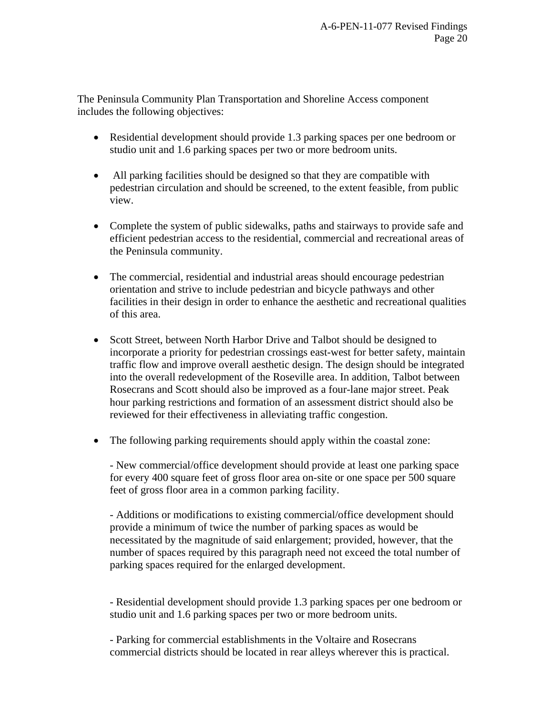The Peninsula Community Plan Transportation and Shoreline Access component includes the following objectives:

- Residential development should provide 1.3 parking spaces per one bedroom or studio unit and 1.6 parking spaces per two or more bedroom units.
- All parking facilities should be designed so that they are compatible with pedestrian circulation and should be screened, to the extent feasible, from public view.
- Complete the system of public sidewalks, paths and stairways to provide safe and efficient pedestrian access to the residential, commercial and recreational areas of the Peninsula community.
- The commercial, residential and industrial areas should encourage pedestrian orientation and strive to include pedestrian and bicycle pathways and other facilities in their design in order to enhance the aesthetic and recreational qualities of this area.
- Scott Street, between North Harbor Drive and Talbot should be designed to incorporate a priority for pedestrian crossings east-west for better safety, maintain traffic flow and improve overall aesthetic design. The design should be integrated into the overall redevelopment of the Roseville area. In addition, Talbot between Rosecrans and Scott should also be improved as a four-lane major street. Peak hour parking restrictions and formation of an assessment district should also be reviewed for their effectiveness in alleviating traffic congestion.
- The following parking requirements should apply within the coastal zone:

- New commercial/office development should provide at least one parking space for every 400 square feet of gross floor area on-site or one space per 500 square feet of gross floor area in a common parking facility.

- Additions or modifications to existing commercial/office development should provide a minimum of twice the number of parking spaces as would be necessitated by the magnitude of said enlargement; provided, however, that the number of spaces required by this paragraph need not exceed the total number of parking spaces required for the enlarged development.

- Residential development should provide 1.3 parking spaces per one bedroom or studio unit and 1.6 parking spaces per two or more bedroom units.

- Parking for commercial establishments in the Voltaire and Rosecrans commercial districts should be located in rear alleys wherever this is practical.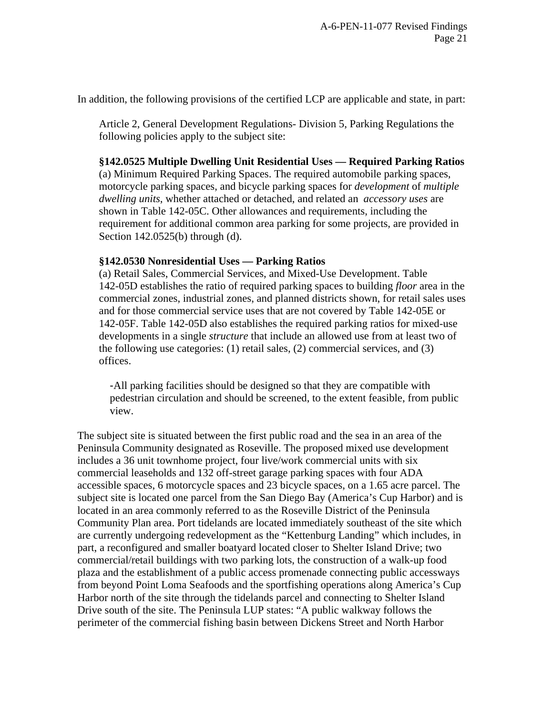In addition, the following provisions of the certified LCP are applicable and state, in part:

Article 2, General Development Regulations- Division 5, Parking Regulations the following policies apply to the subject site:

# **§142.0525 Multiple Dwelling Unit Residential Uses — Required Parking Ratios**

(a) Minimum Required Parking Spaces. The required automobile parking spaces, motorcycle parking spaces, and bicycle parking spaces for *development* of *multiple dwelling units*, whether attached or detached, and related an *accessory uses* are shown in Table 142-05C. Other allowances and requirements, including the requirement for additional common area parking for some projects, are provided in Section 142.0525(b) through (d).

# **§142.0530 Nonresidential Uses — Parking Ratios**

(a) Retail Sales, Commercial Services, and Mixed-Use Development. Table 142-05D establishes the ratio of required parking spaces to building *floor* area in the commercial zones, industrial zones, and planned districts shown, for retail sales uses and for those commercial service uses that are not covered by Table 142-05E or 142-05F. Table 142-05D also establishes the required parking ratios for mixed-use developments in a single *structure* that include an allowed use from at least two of the following use categories: (1) retail sales, (2) commercial services, and (3) offices.

 -All parking facilities should be designed so that they are compatible with pedestrian circulation and should be screened, to the extent feasible, from public view.

The subject site is situated between the first public road and the sea in an area of the Peninsula Community designated as Roseville. The proposed mixed use development includes a 36 unit townhome project, four live/work commercial units with six commercial leaseholds and 132 off-street garage parking spaces with four ADA accessible spaces, 6 motorcycle spaces and 23 bicycle spaces, on a 1.65 acre parcel. The subject site is located one parcel from the San Diego Bay (America's Cup Harbor) and is located in an area commonly referred to as the Roseville District of the Peninsula Community Plan area. Port tidelands are located immediately southeast of the site which are currently undergoing redevelopment as the "Kettenburg Landing" which includes, in part, a reconfigured and smaller boatyard located closer to Shelter Island Drive; two commercial/retail buildings with two parking lots, the construction of a walk-up food plaza and the establishment of a public access promenade connecting public accessways from beyond Point Loma Seafoods and the sportfishing operations along America's Cup Harbor north of the site through the tidelands parcel and connecting to Shelter Island Drive south of the site. The Peninsula LUP states: "A public walkway follows the perimeter of the commercial fishing basin between Dickens Street and North Harbor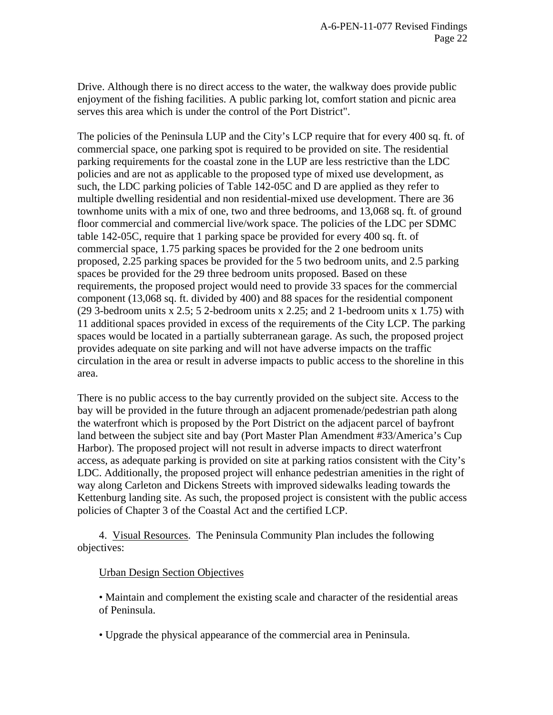Drive. Although there is no direct access to the water, the walkway does provide public enjoyment of the fishing facilities. A public parking lot, comfort station and picnic area serves this area which is under the control of the Port District".

The policies of the Peninsula LUP and the City's LCP require that for every 400 sq. ft. of commercial space, one parking spot is required to be provided on site. The residential parking requirements for the coastal zone in the LUP are less restrictive than the LDC policies and are not as applicable to the proposed type of mixed use development, as such, the LDC parking policies of Table 142-05C and D are applied as they refer to multiple dwelling residential and non residential-mixed use development. There are 36 townhome units with a mix of one, two and three bedrooms, and 13,068 sq. ft. of ground floor commercial and commercial live/work space. The policies of the LDC per SDMC table 142-05C, require that 1 parking space be provided for every 400 sq. ft. of commercial space, 1.75 parking spaces be provided for the 2 one bedroom units proposed, 2.25 parking spaces be provided for the 5 two bedroom units, and 2.5 parking spaces be provided for the 29 three bedroom units proposed. Based on these requirements, the proposed project would need to provide 33 spaces for the commercial component (13,068 sq. ft. divided by 400) and 88 spaces for the residential component (29 3-bedroom units x 2.5; 5 2-bedroom units x 2.25; and 2 1-bedroom units x 1.75) with 11 additional spaces provided in excess of the requirements of the City LCP. The parking spaces would be located in a partially subterranean garage. As such, the proposed project provides adequate on site parking and will not have adverse impacts on the traffic circulation in the area or result in adverse impacts to public access to the shoreline in this area.

There is no public access to the bay currently provided on the subject site. Access to the bay will be provided in the future through an adjacent promenade/pedestrian path along the waterfront which is proposed by the Port District on the adjacent parcel of bayfront land between the subject site and bay (Port Master Plan Amendment #33/America's Cup Harbor). The proposed project will not result in adverse impacts to direct waterfront access, as adequate parking is provided on site at parking ratios consistent with the City's LDC. Additionally, the proposed project will enhance pedestrian amenities in the right of way along Carleton and Dickens Streets with improved sidewalks leading towards the Kettenburg landing site. As such, the proposed project is consistent with the public access policies of Chapter 3 of the Coastal Act and the certified LCP.

 4. Visual Resources. The Peninsula Community Plan includes the following objectives:

## Urban Design Section Objectives

• Maintain and complement the existing scale and character of the residential areas of Peninsula.

• Upgrade the physical appearance of the commercial area in Peninsula.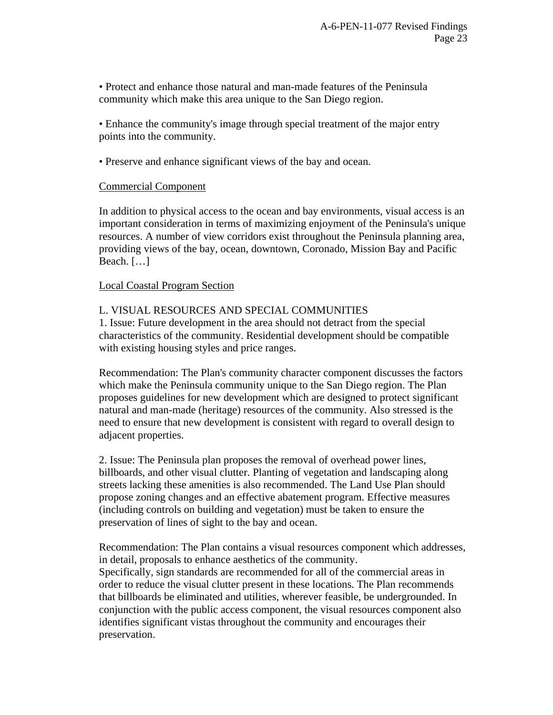• Protect and enhance those natural and man-made features of the Peninsula community which make this area unique to the San Diego region.

• Enhance the community's image through special treatment of the major entry points into the community.

• Preserve and enhance significant views of the bay and ocean.

## Commercial Component

In addition to physical access to the ocean and bay environments, visual access is an important consideration in terms of maximizing enjoyment of the Peninsula's unique resources. A number of view corridors exist throughout the Peninsula planning area, providing views of the bay, ocean, downtown, Coronado, Mission Bay and Pacific Beach. […]

## Local Coastal Program Section

## L. VISUAL RESOURCES AND SPECIAL COMMUNITIES

1. Issue: Future development in the area should not detract from the special characteristics of the community. Residential development should be compatible with existing housing styles and price ranges.

Recommendation: The Plan's community character component discusses the factors which make the Peninsula community unique to the San Diego region. The Plan proposes guidelines for new development which are designed to protect significant natural and man-made (heritage) resources of the community. Also stressed is the need to ensure that new development is consistent with regard to overall design to adjacent properties.

2. Issue: The Peninsula plan proposes the removal of overhead power lines, billboards, and other visual clutter. Planting of vegetation and landscaping along streets lacking these amenities is also recommended. The Land Use Plan should propose zoning changes and an effective abatement program. Effective measures (including controls on building and vegetation) must be taken to ensure the preservation of lines of sight to the bay and ocean.

Recommendation: The Plan contains a visual resources component which addresses, in detail, proposals to enhance aesthetics of the community. Specifically, sign standards are recommended for all of the commercial areas in order to reduce the visual clutter present in these locations. The Plan recommends that billboards be eliminated and utilities, wherever feasible, be undergrounded. In conjunction with the public access component, the visual resources component also identifies significant vistas throughout the community and encourages their preservation.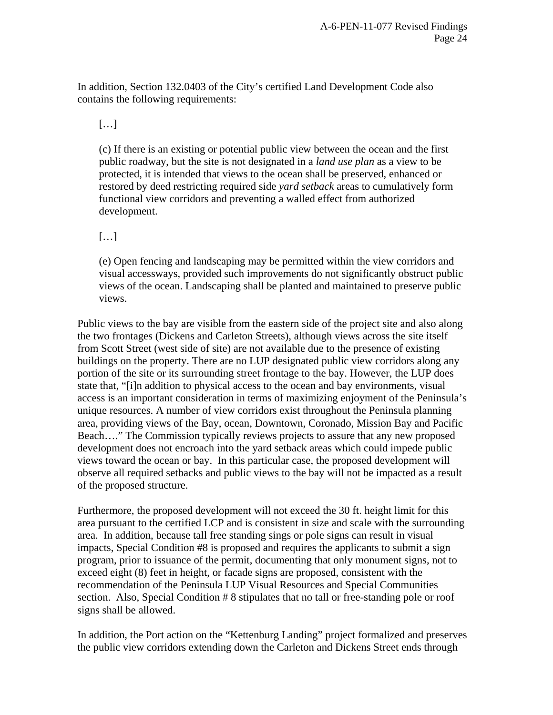In addition, Section 132.0403 of the City's certified Land Development Code also contains the following requirements:

[…]

(c) If there is an existing or potential public view between the ocean and the first public roadway, but the site is not designated in a *land use plan* as a view to be protected, it is intended that views to the ocean shall be preserved, enhanced or restored by deed restricting required side *yard setback* areas to cumulatively form functional view corridors and preventing a walled effect from authorized development.

[…]

(e) Open fencing and landscaping may be permitted within the view corridors and visual accessways, provided such improvements do not significantly obstruct public views of the ocean. Landscaping shall be planted and maintained to preserve public views.

Public views to the bay are visible from the eastern side of the project site and also along the two frontages (Dickens and Carleton Streets), although views across the site itself from Scott Street (west side of site) are not available due to the presence of existing buildings on the property. There are no LUP designated public view corridors along any portion of the site or its surrounding street frontage to the bay. However, the LUP does state that, "[i]n addition to physical access to the ocean and bay environments, visual access is an important consideration in terms of maximizing enjoyment of the Peninsula's unique resources. A number of view corridors exist throughout the Peninsula planning area, providing views of the Bay, ocean, Downtown, Coronado, Mission Bay and Pacific Beach…." The Commission typically reviews projects to assure that any new proposed development does not encroach into the yard setback areas which could impede public views toward the ocean or bay. In this particular case, the proposed development will observe all required setbacks and public views to the bay will not be impacted as a result of the proposed structure.

Furthermore, the proposed development will not exceed the 30 ft. height limit for this area pursuant to the certified LCP and is consistent in size and scale with the surrounding area. In addition, because tall free standing sings or pole signs can result in visual impacts, Special Condition #8 is proposed and requires the applicants to submit a sign program, prior to issuance of the permit, documenting that only monument signs, not to exceed eight (8) feet in height, or facade signs are proposed, consistent with the recommendation of the Peninsula LUP Visual Resources and Special Communities section. Also, Special Condition # 8 stipulates that no tall or free-standing pole or roof signs shall be allowed.

In addition, the Port action on the "Kettenburg Landing" project formalized and preserves the public view corridors extending down the Carleton and Dickens Street ends through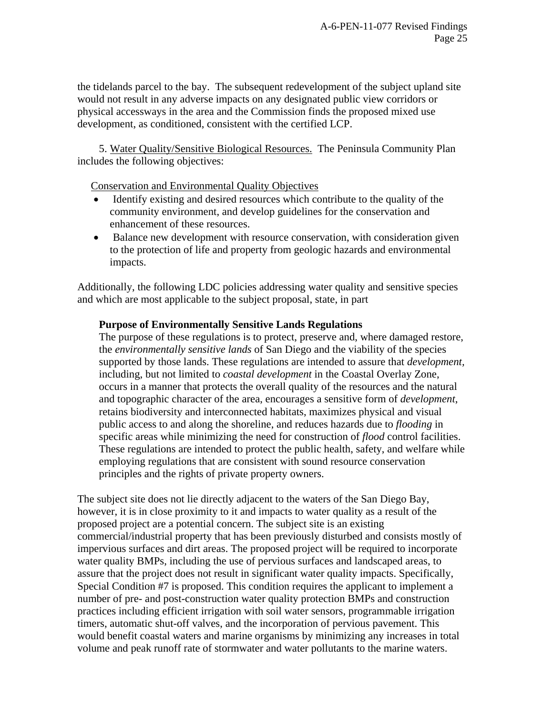the tidelands parcel to the bay. The subsequent redevelopment of the subject upland site would not result in any adverse impacts on any designated public view corridors or physical accessways in the area and the Commission finds the proposed mixed use development, as conditioned, consistent with the certified LCP.

 5. Water Quality/Sensitive Biological Resources. The Peninsula Community Plan includes the following objectives:

Conservation and Environmental Quality Objectives

- Identify existing and desired resources which contribute to the quality of the community environment, and develop guidelines for the conservation and enhancement of these resources.
- Balance new development with resource conservation, with consideration given to the protection of life and property from geologic hazards and environmental impacts.

Additionally, the following LDC policies addressing water quality and sensitive species and which are most applicable to the subject proposal, state, in part

# **Purpose of Environmentally Sensitive Lands Regulations**

The purpose of these regulations is to protect, preserve and, where damaged restore, the *environmentally sensitive lands* of San Diego and the viability of the species supported by those lands. These regulations are intended to assure that *development,* including, but not limited to *coastal development* in the Coastal Overlay Zone, occurs in a manner that protects the overall quality of the resources and the natural and topographic character of the area, encourages a sensitive form of *development*, retains biodiversity and interconnected habitats, maximizes physical and visual public access to and along the shoreline, and reduces hazards due to *flooding* in specific areas while minimizing the need for construction of *flood* control facilities. These regulations are intended to protect the public health, safety, and welfare while employing regulations that are consistent with sound resource conservation principles and the rights of private property owners.

The subject site does not lie directly adjacent to the waters of the San Diego Bay, however, it is in close proximity to it and impacts to water quality as a result of the proposed project are a potential concern. The subject site is an existing commercial/industrial property that has been previously disturbed and consists mostly of impervious surfaces and dirt areas. The proposed project will be required to incorporate water quality BMPs, including the use of pervious surfaces and landscaped areas, to assure that the project does not result in significant water quality impacts. Specifically, Special Condition #7 is proposed. This condition requires the applicant to implement a number of pre- and post-construction water quality protection BMPs and construction practices including efficient irrigation with soil water sensors, programmable irrigation timers, automatic shut-off valves, and the incorporation of pervious pavement. This would benefit coastal waters and marine organisms by minimizing any increases in total volume and peak runoff rate of stormwater and water pollutants to the marine waters.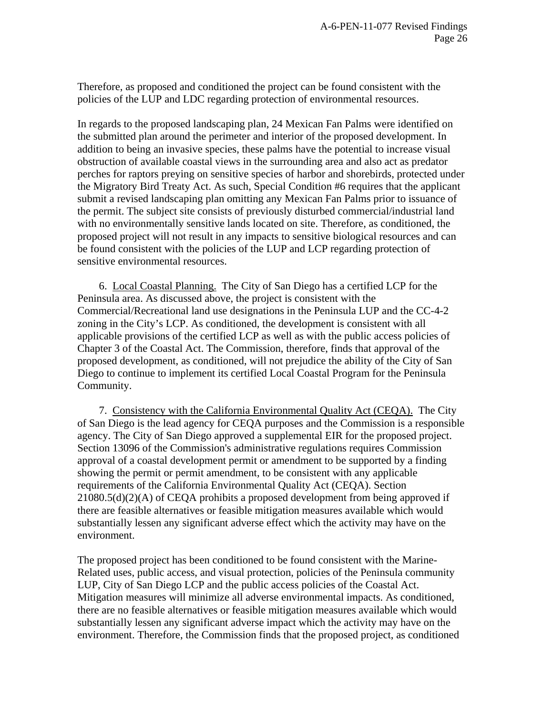Therefore, as proposed and conditioned the project can be found consistent with the policies of the LUP and LDC regarding protection of environmental resources.

In regards to the proposed landscaping plan, 24 Mexican Fan Palms were identified on the submitted plan around the perimeter and interior of the proposed development. In addition to being an invasive species, these palms have the potential to increase visual obstruction of available coastal views in the surrounding area and also act as predator perches for raptors preying on sensitive species of harbor and shorebirds, protected under the Migratory Bird Treaty Act. As such, Special Condition #6 requires that the applicant submit a revised landscaping plan omitting any Mexican Fan Palms prior to issuance of the permit. The subject site consists of previously disturbed commercial/industrial land with no environmentally sensitive lands located on site. Therefore, as conditioned, the proposed project will not result in any impacts to sensitive biological resources and can be found consistent with the policies of the LUP and LCP regarding protection of sensitive environmental resources.

 6. Local Coastal Planning. The City of San Diego has a certified LCP for the Peninsula area. As discussed above, the project is consistent with the Commercial/Recreational land use designations in the Peninsula LUP and the CC-4-2 zoning in the City's LCP. As conditioned, the development is consistent with all applicable provisions of the certified LCP as well as with the public access policies of Chapter 3 of the Coastal Act. The Commission, therefore, finds that approval of the proposed development, as conditioned, will not prejudice the ability of the City of San Diego to continue to implement its certified Local Coastal Program for the Peninsula Community.

 7. Consistency with the California Environmental Quality Act (CEQA). The City of San Diego is the lead agency for CEQA purposes and the Commission is a responsible agency. The City of San Diego approved a supplemental EIR for the proposed project. Section 13096 of the Commission's administrative regulations requires Commission approval of a coastal development permit or amendment to be supported by a finding showing the permit or permit amendment, to be consistent with any applicable requirements of the California Environmental Quality Act (CEQA). Section 21080.5(d)(2)(A) of CEQA prohibits a proposed development from being approved if there are feasible alternatives or feasible mitigation measures available which would substantially lessen any significant adverse effect which the activity may have on the environment.

The proposed project has been conditioned to be found consistent with the Marine-Related uses, public access, and visual protection, policies of the Peninsula community LUP, City of San Diego LCP and the public access policies of the Coastal Act. Mitigation measures will minimize all adverse environmental impacts. As conditioned, there are no feasible alternatives or feasible mitigation measures available which would substantially lessen any significant adverse impact which the activity may have on the environment. Therefore, the Commission finds that the proposed project, as conditioned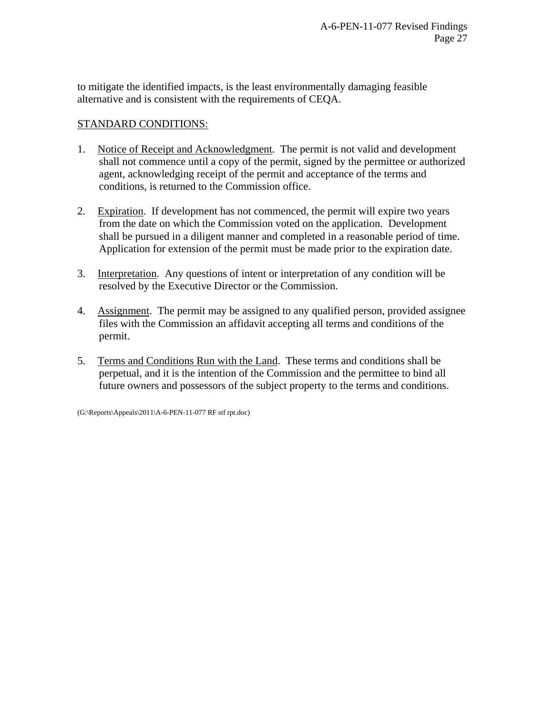to mitigate the identified impacts, is the least environmentally damaging feasible alternative and is consistent with the requirements of CEQA.

# STANDARD CONDITIONS:

- 1. Notice of Receipt and Acknowledgment. The permit is not valid and development shall not commence until a copy of the permit, signed by the permittee or authorized agent, acknowledging receipt of the permit and acceptance of the terms and conditions, is returned to the Commission office.
- 2. Expiration. If development has not commenced, the permit will expire two years from the date on which the Commission voted on the application. Development shall be pursued in a diligent manner and completed in a reasonable period of time. Application for extension of the permit must be made prior to the expiration date.
- 3. Interpretation. Any questions of intent or interpretation of any condition will be resolved by the Executive Director or the Commission.
- 4. Assignment. The permit may be assigned to any qualified person, provided assignee files with the Commission an affidavit accepting all terms and conditions of the permit.
- 5. Terms and Conditions Run with the Land. These terms and conditions shall be perpetual, and it is the intention of the Commission and the permittee to bind all future owners and possessors of the subject property to the terms and conditions.

(G:\Reports\Appeals\2011\A-6-PEN-11-077 RF stf rpt.doc)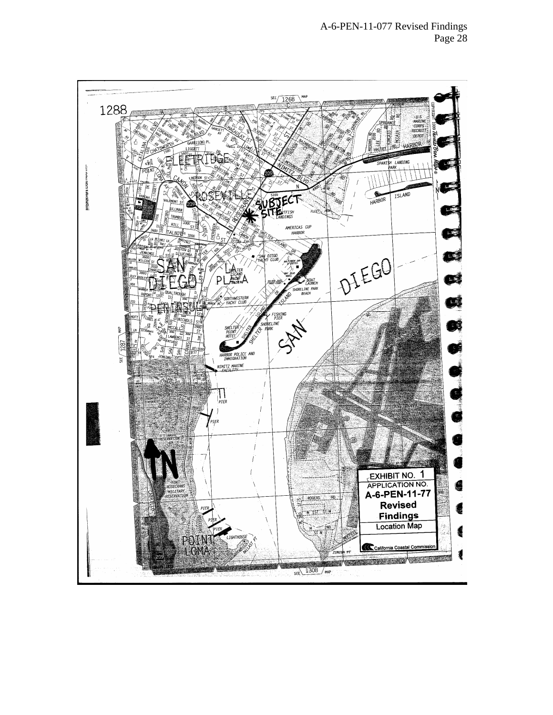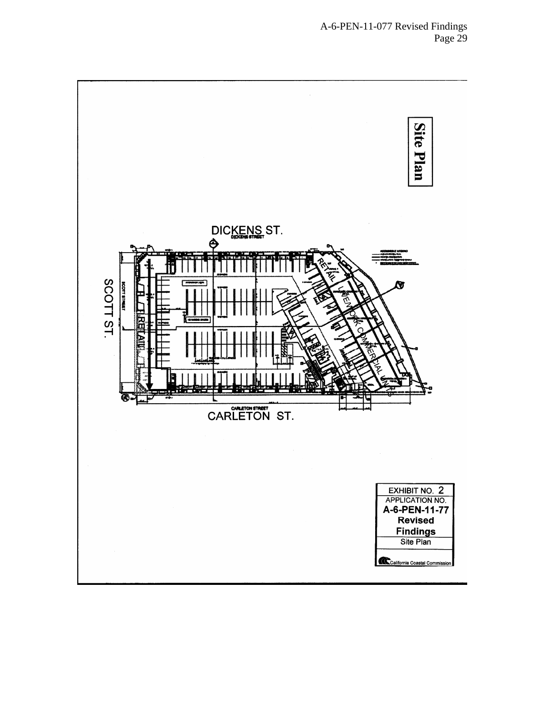# A-6-PEN-11-077 Revised Findings Page 29